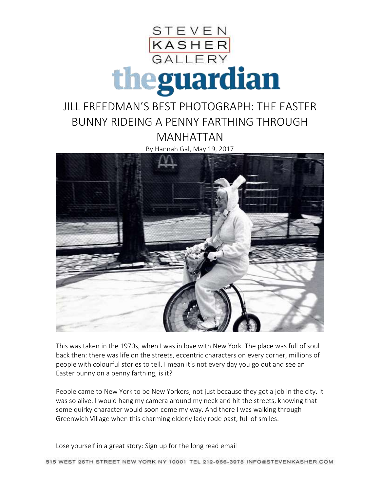

## JILL FREEDMAN'S BEST PHOTOGRAPH: THE EASTER BUNNY RIDEING A PENNY FARTHING THROUGH MANHATTAN

By Hannah Gal, May 19, 2017



This was taken in the 1970s, when I was in love with New York. The place was full of soul back then: there was life on the streets, eccentric characters on every corner, millions of people with colourful stories to tell. I mean it's not every day you go out and see an Easter bunny on a penny farthing, is it?

People came to New York to be New Yorkers, not just because they got a job in the city. It was so alive. I would hang my camera around my neck and hit the streets, knowing that some quirky character would soon come my way. And there I was walking through Greenwich Village when this charming elderly lady rode past, full of smiles.

Lose yourself in a great story: Sign up for the long read email